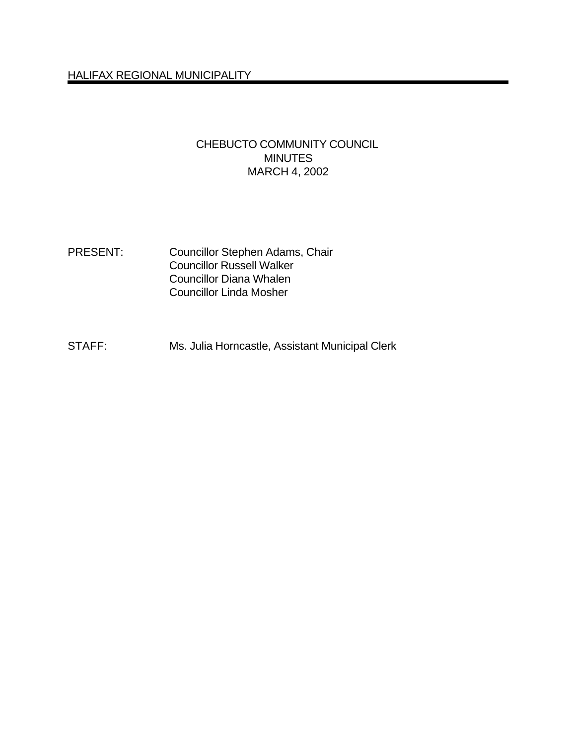# CHEBUCTO COMMUNITY COUNCIL MINUTES MARCH 4, 2002

- PRESENT: Councillor Stephen Adams, Chair Councillor Russell Walker Councillor Diana Whalen Councillor Linda Mosher
- STAFF: Ms. Julia Horncastle, Assistant Municipal Clerk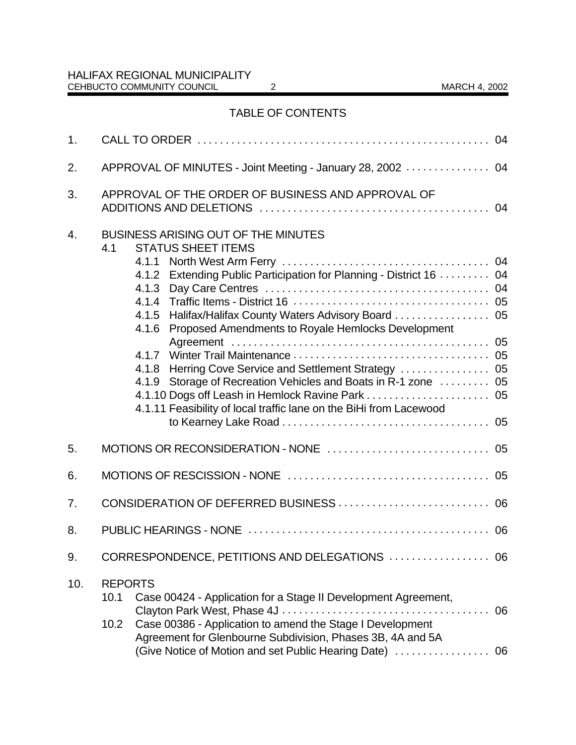# TABLE OF CONTENTS

| 1.  |                                                                                                                                                                                                                                                                                                                                                                                                                                                                                           |  |  |  |  |
|-----|-------------------------------------------------------------------------------------------------------------------------------------------------------------------------------------------------------------------------------------------------------------------------------------------------------------------------------------------------------------------------------------------------------------------------------------------------------------------------------------------|--|--|--|--|
| 2.  | APPROVAL OF MINUTES - Joint Meeting - January 28, 2002  04                                                                                                                                                                                                                                                                                                                                                                                                                                |  |  |  |  |
| 3.  | APPROVAL OF THE ORDER OF BUSINESS AND APPROVAL OF                                                                                                                                                                                                                                                                                                                                                                                                                                         |  |  |  |  |
| 4.  | <b>BUSINESS ARISING OUT OF THE MINUTES</b><br><b>STATUS SHEET ITEMS</b><br>4.1<br>4.1.2 Extending Public Participation for Planning - District 16  04<br>4.1.5 Halifax/Halifax County Waters Advisory Board  05<br>Proposed Amendments to Royale Hemlocks Development<br>4.1.6<br>4.1.7<br>4.1.8 Herring Cove Service and Settlement Strategy  05<br>4.1.9 Storage of Recreation Vehicles and Boats in R-1 zone  05<br>4.1.11 Feasibility of local traffic lane on the BiHi from Lacewood |  |  |  |  |
| 5.  |                                                                                                                                                                                                                                                                                                                                                                                                                                                                                           |  |  |  |  |
| 6.  |                                                                                                                                                                                                                                                                                                                                                                                                                                                                                           |  |  |  |  |
| 7.  |                                                                                                                                                                                                                                                                                                                                                                                                                                                                                           |  |  |  |  |
| 8.  |                                                                                                                                                                                                                                                                                                                                                                                                                                                                                           |  |  |  |  |
| 9.  | CORRESPONDENCE, PETITIONS AND DELEGATIONS  06                                                                                                                                                                                                                                                                                                                                                                                                                                             |  |  |  |  |
| 10. | <b>REPORTS</b><br>Case 00424 - Application for a Stage II Development Agreement,<br>10.1<br>06<br>Case 00386 - Application to amend the Stage I Development<br>10.2<br>Agreement for Glenbourne Subdivision, Phases 3B, 4A and 5A<br>(Give Notice of Motion and set Public Hearing Date)  06                                                                                                                                                                                              |  |  |  |  |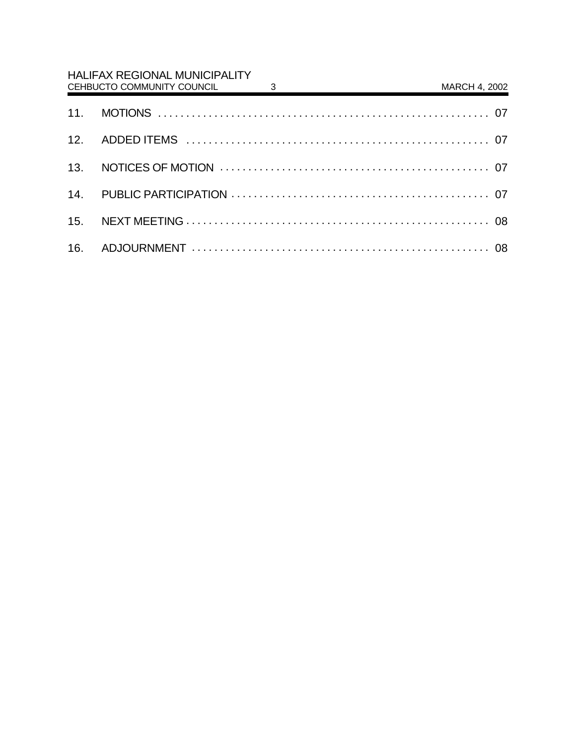| <b>HALIFAX REGIONAL MUNICIPALITY</b><br>$\overline{\mathbf{3}}$<br>CEHBUCTO COMMUNITY COUNCIL | <u> 1980 - Jan Stein Stein Stein Stein Stein Stein Stein Stein Stein Stein Stein Stein Stein Stein Stein Stein S</u> | MARCH 4, 2002 |
|-----------------------------------------------------------------------------------------------|----------------------------------------------------------------------------------------------------------------------|---------------|
|                                                                                               |                                                                                                                      |               |
|                                                                                               |                                                                                                                      |               |
|                                                                                               |                                                                                                                      |               |
|                                                                                               |                                                                                                                      |               |
|                                                                                               |                                                                                                                      |               |
|                                                                                               |                                                                                                                      |               |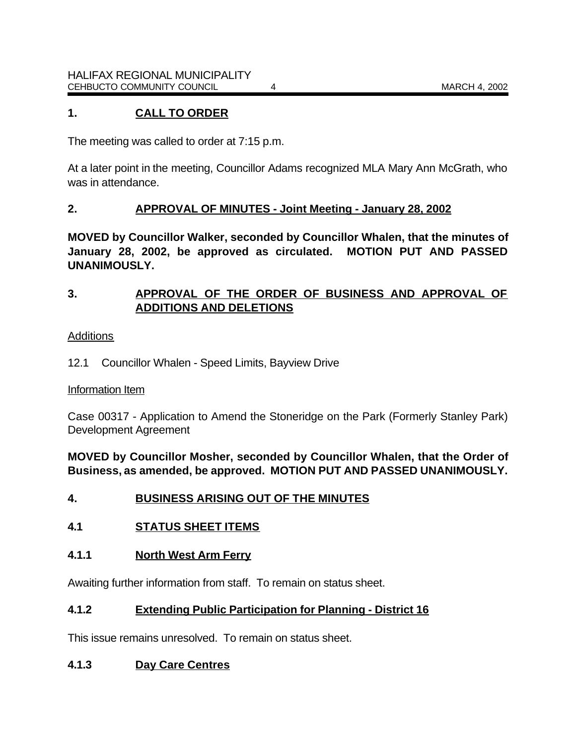### **1. CALL TO ORDER**

The meeting was called to order at 7:15 p.m.

At a later point in the meeting, Councillor Adams recognized MLA Mary Ann McGrath, who was in attendance.

#### **2. APPROVAL OF MINUTES - Joint Meeting - January 28, 2002**

**MOVED by Councillor Walker, seconded by Councillor Whalen, that the minutes of January 28, 2002, be approved as circulated. MOTION PUT AND PASSED UNANIMOUSLY.**

### **3. APPROVAL OF THE ORDER OF BUSINESS AND APPROVAL OF ADDITIONS AND DELETIONS**

#### Additions

12.1 Councillor Whalen - Speed Limits, Bayview Drive

#### Information Item

Case 00317 - Application to Amend the Stoneridge on the Park (Formerly Stanley Park) Development Agreement

**MOVED by Councillor Mosher, seconded by Councillor Whalen, that the Order of Business, as amended, be approved. MOTION PUT AND PASSED UNANIMOUSLY.**

- **4. BUSINESS ARISING OUT OF THE MINUTES**
- **4.1 STATUS SHEET ITEMS**

#### **4.1.1 North West Arm Ferry**

Awaiting further information from staff. To remain on status sheet.

#### **4.1.2 Extending Public Participation for Planning - District 16**

This issue remains unresolved. To remain on status sheet.

#### **4.1.3 Day Care Centres**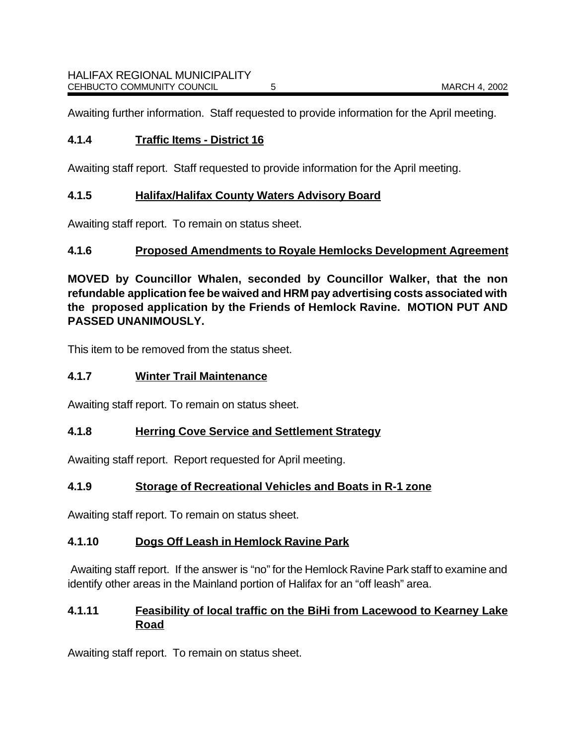Awaiting further information. Staff requested to provide information for the April meeting.

### **4.1.4 Traffic Items - District 16**

Awaiting staff report. Staff requested to provide information for the April meeting.

### **4.1.5 Halifax/Halifax County Waters Advisory Board**

Awaiting staff report. To remain on status sheet.

# **4.1.6 Proposed Amendments to Royale Hemlocks Development Agreement**

**MOVED by Councillor Whalen, seconded by Councillor Walker, that the non refundable application fee be waived and HRM pay advertising costs associated with the proposed application by the Friends of Hemlock Ravine. MOTION PUT AND PASSED UNANIMOUSLY.**

This item to be removed from the status sheet.

### **4.1.7 Winter Trail Maintenance**

Awaiting staff report. To remain on status sheet.

#### **4.1.8 Herring Cove Service and Settlement Strategy**

Awaiting staff report. Report requested for April meeting.

# **4.1.9 Storage of Recreational Vehicles and Boats in R-1 zone**

Awaiting staff report. To remain on status sheet.

# **4.1.10 Dogs Off Leash in Hemlock Ravine Park**

Awaiting staff report. If the answer is "no" for the Hemlock Ravine Park staff to examine and identify other areas in the Mainland portion of Halifax for an "off leash" area.

# **4.1.11 Feasibility of local traffic on the BiHi from Lacewood to Kearney Lake Road**

Awaiting staff report. To remain on status sheet.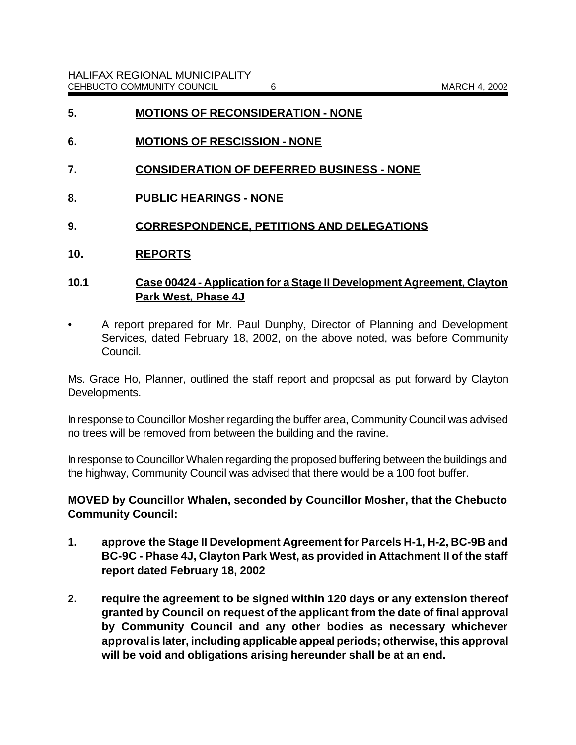- **5. MOTIONS OF RECONSIDERATION NONE**
- **6. MOTIONS OF RESCISSION NONE**
- **7. CONSIDERATION OF DEFERRED BUSINESS NONE**
- **8. PUBLIC HEARINGS NONE**
- **9. CORRESPONDENCE, PETITIONS AND DELEGATIONS**
- **10. REPORTS**
- **10.1 Case 00424 Application for a Stage II Development Agreement, Clayton Park West, Phase 4J**
- A report prepared for Mr. Paul Dunphy, Director of Planning and Development Services, dated February 18, 2002, on the above noted, was before Community Council.

Ms. Grace Ho, Planner, outlined the staff report and proposal as put forward by Clayton Developments.

In response to Councillor Mosher regarding the buffer area, Community Council was advised no trees will be removed from between the building and the ravine.

In response to Councillor Whalen regarding the proposed buffering between the buildings and the highway, Community Council was advised that there would be a 100 foot buffer.

**MOVED by Councillor Whalen, seconded by Councillor Mosher, that the Chebucto Community Council:**

- **1. approve the Stage II Development Agreement for Parcels H-1, H-2, BC-9B and BC-9C - Phase 4J, Clayton Park West, as provided in Attachment II of the staff report dated February 18, 2002**
- **2. require the agreement to be signed within 120 days or any extension thereof granted by Council on request of the applicant from the date of final approval by Community Council and any other bodies as necessary whichever approval is later, including applicable appeal periods; otherwise, this approval will be void and obligations arising hereunder shall be at an end.**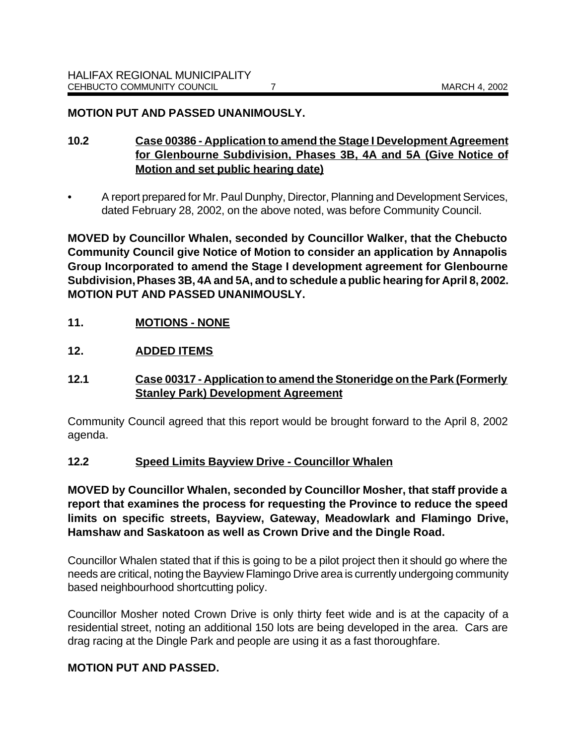### **MOTION PUT AND PASSED UNANIMOUSLY.**

- **10.2 Case 00386 Application to amend the Stage I Development Agreement for Glenbourne Subdivision, Phases 3B, 4A and 5A (Give Notice of Motion and set public hearing date)**
- A report prepared for Mr. Paul Dunphy, Director, Planning and Development Services, dated February 28, 2002, on the above noted, was before Community Council.

**MOVED by Councillor Whalen, seconded by Councillor Walker, that the Chebucto Community Council give Notice of Motion to consider an application by Annapolis Group Incorporated to amend the Stage I development agreement for Glenbourne Subdivision, Phases 3B, 4A and 5A, and to schedule a public hearing for April 8, 2002. MOTION PUT AND PASSED UNANIMOUSLY.**

# **11. MOTIONS - NONE**

### **12. ADDED ITEMS**

# **12.1 Case 00317 - Application to amend the Stoneridge on the Park (Formerly Stanley Park) Development Agreement**

Community Council agreed that this report would be brought forward to the April 8, 2002 agenda.

#### **12.2 Speed Limits Bayview Drive - Councillor Whalen**

**MOVED by Councillor Whalen, seconded by Councillor Mosher, that staff provide a report that examines the process for requesting the Province to reduce the speed limits on specific streets, Bayview, Gateway, Meadowlark and Flamingo Drive, Hamshaw and Saskatoon as well as Crown Drive and the Dingle Road.** 

Councillor Whalen stated that if this is going to be a pilot project then it should go where the needs are critical, noting the Bayview Flamingo Drive area is currently undergoing community based neighbourhood shortcutting policy.

Councillor Mosher noted Crown Drive is only thirty feet wide and is at the capacity of a residential street, noting an additional 150 lots are being developed in the area. Cars are drag racing at the Dingle Park and people are using it as a fast thoroughfare.

# **MOTION PUT AND PASSED.**